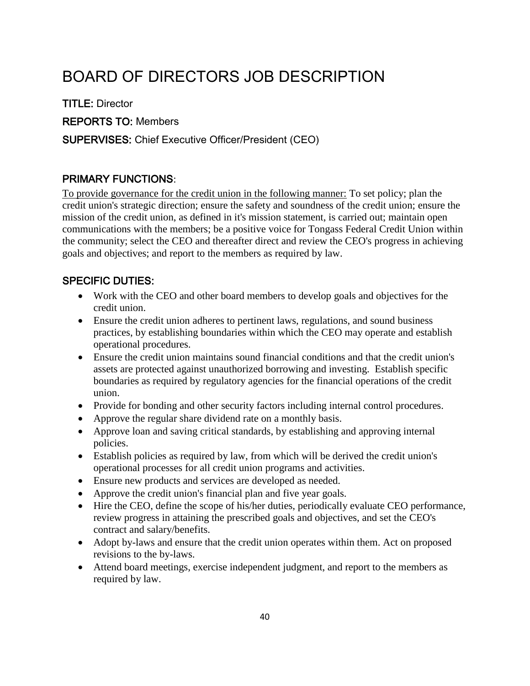# BOARD OF DIRECTORS JOB DESCRIPTION

TITLE: Director

REPORTS TO: Members

#### SUPERVISES: Chief Executive Officer/President (CEO)

### PRIMARY FUNCTIONS:

To provide governance for the credit union in the following manner: To set policy; plan the credit union's strategic direction; ensure the safety and soundness of the credit union; ensure the mission of the credit union, as defined in it's mission statement, is carried out; maintain open communications with the members; be a positive voice for Tongass Federal Credit Union within the community; select the CEO and thereafter direct and review the CEO's progress in achieving goals and objectives; and report to the members as required by law.

### SPECIFIC DUTIES:

- Work with the CEO and other board members to develop goals and objectives for the credit union.
- Ensure the credit union adheres to pertinent laws, regulations, and sound business practices, by establishing boundaries within which the CEO may operate and establish operational procedures.
- Ensure the credit union maintains sound financial conditions and that the credit union's assets are protected against unauthorized borrowing and investing. Establish specific boundaries as required by regulatory agencies for the financial operations of the credit union.
- Provide for bonding and other security factors including internal control procedures.
- Approve the regular share dividend rate on a monthly basis.
- Approve loan and saving critical standards, by establishing and approving internal policies.
- Establish policies as required by law, from which will be derived the credit union's operational processes for all credit union programs and activities.
- Ensure new products and services are developed as needed.
- Approve the credit union's financial plan and five year goals.
- Hire the CEO, define the scope of his/her duties, periodically evaluate CEO performance, review progress in attaining the prescribed goals and objectives, and set the CEO's contract and salary/benefits.
- Adopt by-laws and ensure that the credit union operates within them. Act on proposed revisions to the by-laws.
- Attend board meetings, exercise independent judgment, and report to the members as required by law.